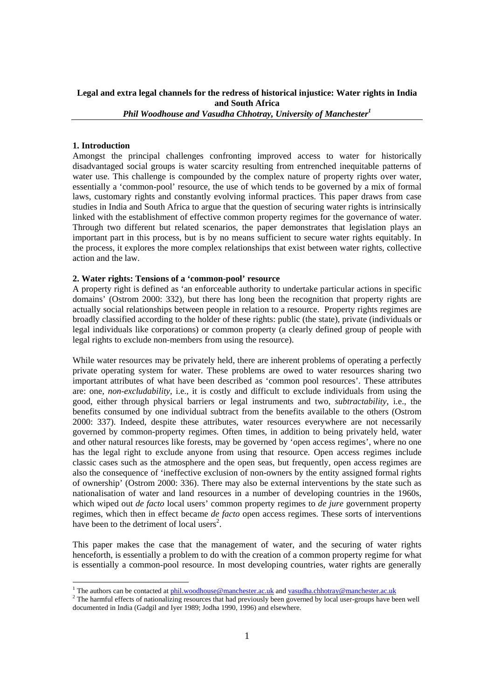# **Legal and extra legal channels for the redress of historical injustice: Water rights in India and South Africa**  *Phil Woodhouse and Vasudha Chhotray, University of Manchester<sup>1</sup>*

#### **1. Introduction**

Amongst the principal challenges confronting improved access to water for historically disadvantaged social groups is water scarcity resulting from entrenched inequitable patterns of water use. This challenge is compounded by the complex nature of property rights over water, essentially a 'common-pool' resource, the use of which tends to be governed by a mix of formal laws, customary rights and constantly evolving informal practices. This paper draws from case studies in India and South Africa to argue that the question of securing water rights is intrinsically linked with the establishment of effective common property regimes for the governance of water. Through two different but related scenarios, the paper demonstrates that legislation plays an important part in this process, but is by no means sufficient to secure water rights equitably. In the process, it explores the more complex relationships that exist between water rights, collective action and the law.

### **2. Water rights: Tensions of a 'common-pool' resource**

A property right is defined as 'an enforceable authority to undertake particular actions in specific domains' (Ostrom 2000: 332), but there has long been the recognition that property rights are actually social relationships between people in relation to a resource. Property rights regimes are broadly classified according to the holder of these rights: public (the state), private (individuals or legal individuals like corporations) or common property (a clearly defined group of people with legal rights to exclude non-members from using the resource).

While water resources may be privately held, there are inherent problems of operating a perfectly private operating system for water. These problems are owed to water resources sharing two important attributes of what have been described as 'common pool resources'. These attributes are: one, *non-excludability*, i.e., it is costly and difficult to exclude individuals from using the good, either through physical barriers or legal instruments and two, *subtractability*, i.e., the benefits consumed by one individual subtract from the benefits available to the others (Ostrom 2000: 337). Indeed, despite these attributes, water resources everywhere are not necessarily governed by common-property regimes. Often times, in addition to being privately held, water and other natural resources like forests, may be governed by 'open access regimes', where no one has the legal right to exclude anyone from using that resource. Open access regimes include classic cases such as the atmosphere and the open seas, but frequently, open access regimes are also the consequence of 'ineffective exclusion of non-owners by the entity assigned formal rights of ownership' (Ostrom 2000: 336). There may also be external interventions by the state such as nationalisation of water and land resources in a number of developing countries in the 1960s, which wiped out *de facto* local users' common property regimes to *de jure* government property regimes, which then in effect became *de facto* open access regimes. These sorts of interventions have been to the detriment of local users<sup>2</sup>.

This paper makes the case that the management of water, and the securing of water rights henceforth, is essentially a problem to do with the creation of a common property regime for what is essentially a common-pool resource. In most developing countries, water rights are generally

<sup>&</sup>lt;sup>1</sup> The authors can be contacted at <u>phil.woodhouse@manchester.ac.uk</u> and <u>vasudha.chhotray@manchester.ac.uk</u>  $\frac{2}{\pi}$ 

<sup>&</sup>lt;sup>2</sup> The harmful effects of nationalizing resources that had previously been governed by local user-groups have been well documented in India (Gadgil and Iyer 1989; Jodha 1990, 1996) and elsewhere.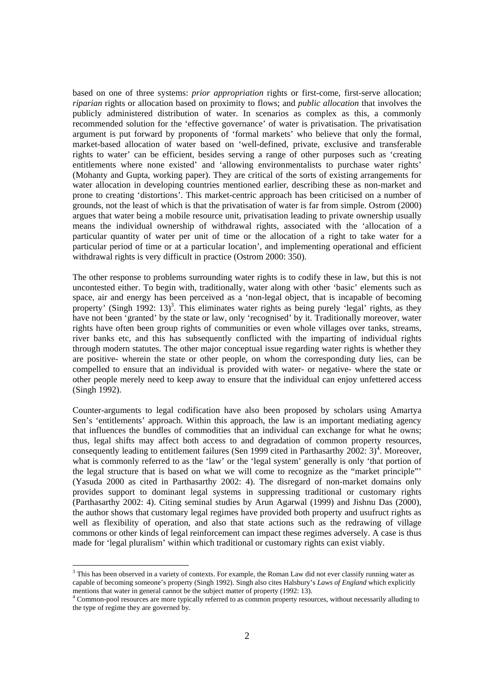based on one of three systems: *prior appropriation* rights or first-come, first-serve allocation; *riparian* rights or allocation based on proximity to flows; and *public allocation* that involves the publicly administered distribution of water. In scenarios as complex as this, a commonly recommended solution for the 'effective governance' of water is privatisation. The privatisation argument is put forward by proponents of 'formal markets' who believe that only the formal, market-based allocation of water based on 'well-defined, private, exclusive and transferable rights to water' can be efficient, besides serving a range of other purposes such as 'creating entitlements where none existed' and 'allowing environmentalists to purchase water rights' (Mohanty and Gupta, working paper). They are critical of the sorts of existing arrangements for water allocation in developing countries mentioned earlier, describing these as non-market and prone to creating 'distortions'. This market-centric approach has been criticised on a number of grounds, not the least of which is that the privatisation of water is far from simple. Ostrom (2000) argues that water being a mobile resource unit, privatisation leading to private ownership usually means the individual ownership of withdrawal rights, associated with the 'allocation of a particular quantity of water per unit of time or the allocation of a right to take water for a particular period of time or at a particular location', and implementing operational and efficient withdrawal rights is very difficult in practice (Ostrom 2000: 350).

The other response to problems surrounding water rights is to codify these in law, but this is not uncontested either. To begin with, traditionally, water along with other 'basic' elements such as space, air and energy has been perceived as a 'non-legal object, that is incapable of becoming property' (Singh 1992: 13)<sup>3</sup>. This eliminates water rights as being purely 'legal' rights, as they have not been 'granted' by the state or law, only 'recognised' by it. Traditionally moreover, water rights have often been group rights of communities or even whole villages over tanks, streams, river banks etc, and this has subsequently conflicted with the imparting of individual rights through modern statutes. The other major conceptual issue regarding water rights is whether they are positive- wherein the state or other people, on whom the corresponding duty lies, can be compelled to ensure that an individual is provided with water- or negative- where the state or other people merely need to keep away to ensure that the individual can enjoy unfettered access (Singh 1992).

Counter-arguments to legal codification have also been proposed by scholars using Amartya Sen's 'entitlements' approach. Within this approach, the law is an important mediating agency that influences the bundles of commodities that an individual can exchange for what he owns; thus, legal shifts may affect both access to and degradation of common property resources, consequently leading to entitlement failures (Sen 1999 cited in Parthasarthy  $2002: 3)^4$ . Moreover, what is commonly referred to as the 'law' or the 'legal system' generally is only 'that portion of the legal structure that is based on what we will come to recognize as the "market principle"' (Yasuda 2000 as cited in Parthasarthy 2002: 4). The disregard of non-market domains only provides support to dominant legal systems in suppressing traditional or customary rights (Parthasarthy 2002: 4). Citing seminal studies by Arun Agarwal (1999) and Jishnu Das (2000), the author shows that customary legal regimes have provided both property and usufruct rights as well as flexibility of operation, and also that state actions such as the redrawing of village commons or other kinds of legal reinforcement can impact these regimes adversely. A case is thus made for 'legal pluralism' within which traditional or customary rights can exist viably.

<sup>&</sup>lt;sup>3</sup> This has been observed in a variety of contexts. For example, the Roman Law did not ever classify running water as capable of becoming someone's property (Singh 1992). Singh also cites Halsbury's *Laws of England* which explicitly mentions that water in general cannot be the subject matter of property (1992: 13). 4

Common-pool resources are more typically referred to as common property resources, without necessarily alluding to the type of regime they are governed by.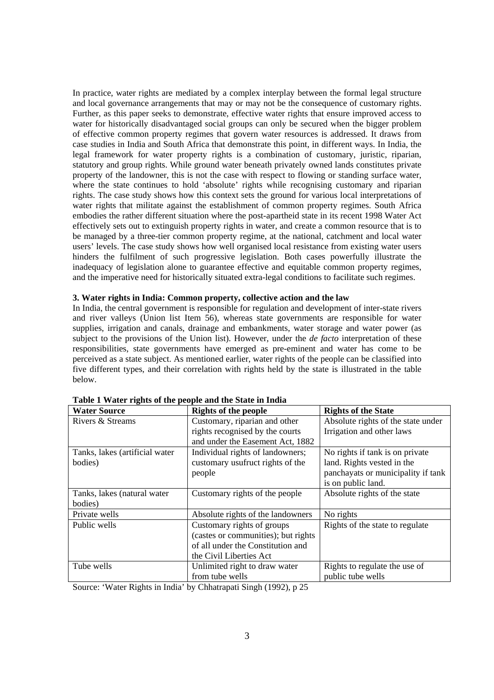In practice, water rights are mediated by a complex interplay between the formal legal structure and local governance arrangements that may or may not be the consequence of customary rights. Further, as this paper seeks to demonstrate, effective water rights that ensure improved access to water for historically disadvantaged social groups can only be secured when the bigger problem of effective common property regimes that govern water resources is addressed. It draws from case studies in India and South Africa that demonstrate this point, in different ways. In India, the legal framework for water property rights is a combination of customary, juristic, riparian, statutory and group rights. While ground water beneath privately owned lands constitutes private property of the landowner, this is not the case with respect to flowing or standing surface water, where the state continues to hold 'absolute' rights while recognising customary and riparian rights. The case study shows how this context sets the ground for various local interpretations of water rights that militate against the establishment of common property regimes. South Africa embodies the rather different situation where the post-apartheid state in its recent 1998 Water Act effectively sets out to extinguish property rights in water, and create a common resource that is to be managed by a three-tier common property regime, at the national, catchment and local water users' levels. The case study shows how well organised local resistance from existing water users hinders the fulfilment of such progressive legislation. Both cases powerfully illustrate the inadequacy of legislation alone to guarantee effective and equitable common property regimes, and the imperative need for historically situated extra-legal conditions to facilitate such regimes.

### **3. Water rights in India: Common property, collective action and the law**

In India, the central government is responsible for regulation and development of inter-state rivers and river valleys (Union list Item 56), whereas state governments are responsible for water supplies, irrigation and canals, drainage and embankments, water storage and water power (as subject to the provisions of the Union list). However, under the *de facto* interpretation of these responsibilities, state governments have emerged as pre-eminent and water has come to be perceived as a state subject. As mentioned earlier, water rights of the people can be classified into five different types, and their correlation with rights held by the state is illustrated in the table below.

| <b>Water Source</b>            | <b>Rights of the people</b>         | <b>Rights of the State</b>         |
|--------------------------------|-------------------------------------|------------------------------------|
| Rivers & Streams               | Customary, riparian and other       | Absolute rights of the state under |
|                                | rights recognised by the courts     | Irrigation and other laws          |
|                                | and under the Easement Act, 1882    |                                    |
| Tanks, lakes (artificial water | Individual rights of landowners;    | No rights if tank is on private    |
| bodies)                        | customary usufruct rights of the    | land. Rights vested in the         |
|                                | people                              | panchayats or municipality if tank |
|                                |                                     | is on public land.                 |
| Tanks, lakes (natural water    | Customary rights of the people      | Absolute rights of the state       |
| bodies)                        |                                     |                                    |
| Private wells                  | Absolute rights of the landowners   | No rights                          |
| Public wells                   | Customary rights of groups          | Rights of the state to regulate    |
|                                | (castes or communities); but rights |                                    |
|                                | of all under the Constitution and   |                                    |
|                                | the Civil Liberties Act             |                                    |
| Tube wells                     | Unlimited right to draw water       | Rights to regulate the use of      |
|                                | from tube wells                     | public tube wells                  |

**Table 1 Water rights of the people and the State in India** 

Source: 'Water Rights in India' by Chhatrapati Singh (1992), p 25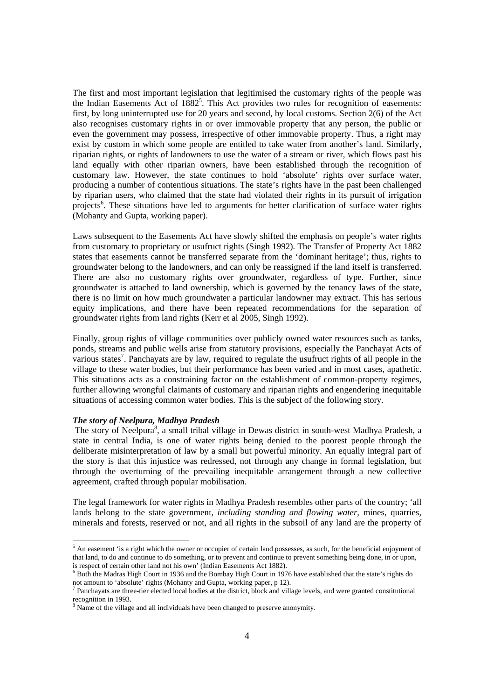The first and most important legislation that legitimised the customary rights of the people was the Indian Easements Act of 1882<sup>5</sup>. This Act provides two rules for recognition of easements: first, by long uninterrupted use for 20 years and second, by local customs. Section 2(6) of the Act also recognises customary rights in or over immovable property that any person, the public or even the government may possess, irrespective of other immovable property. Thus, a right may exist by custom in which some people are entitled to take water from another's land. Similarly, riparian rights, or rights of landowners to use the water of a stream or river, which flows past his land equally with other riparian owners, have been established through the recognition of customary law. However, the state continues to hold 'absolute' rights over surface water, producing a number of contentious situations. The state's rights have in the past been challenged by riparian users, who claimed that the state had violated their rights in its pursuit of irrigation projects<sup>6</sup>. These situations have led to arguments for better clarification of surface water rights (Mohanty and Gupta, working paper).

Laws subsequent to the Easements Act have slowly shifted the emphasis on people's water rights from customary to proprietary or usufruct rights (Singh 1992). The Transfer of Property Act 1882 states that easements cannot be transferred separate from the 'dominant heritage'; thus, rights to groundwater belong to the landowners, and can only be reassigned if the land itself is transferred. There are also no customary rights over groundwater, regardless of type. Further, since groundwater is attached to land ownership, which is governed by the tenancy laws of the state, there is no limit on how much groundwater a particular landowner may extract. This has serious equity implications, and there have been repeated recommendations for the separation of groundwater rights from land rights (Kerr et al 2005, Singh 1992).

Finally, group rights of village communities over publicly owned water resources such as tanks, ponds, streams and public wells arise from statutory provisions, especially the Panchayat Acts of various states<sup>7</sup>. Panchayats are by law, required to regulate the usufruct rights of all people in the village to these water bodies, but their performance has been varied and in most cases, apathetic. This situations acts as a constraining factor on the establishment of common-property regimes, further allowing wrongful claimants of customary and riparian rights and engendering inequitable situations of accessing common water bodies. This is the subject of the following story.

#### *The story of Neelpura, Madhya Pradesh*

 $\overline{a}$ 

The story of Neelpura<sup>8</sup>, a small tribal village in Dewas district in south-west Madhya Pradesh, a state in central India, is one of water rights being denied to the poorest people through the deliberate misinterpretation of law by a small but powerful minority. An equally integral part of the story is that this injustice was redressed, not through any change in formal legislation, but through the overturning of the prevailing inequitable arrangement through a new collective agreement, crafted through popular mobilisation.

The legal framework for water rights in Madhya Pradesh resembles other parts of the country; 'all lands belong to the state government, *including standing and flowing water*, mines, quarries, minerals and forests, reserved or not, and all rights in the subsoil of any land are the property of

 $<sup>5</sup>$  An easement 'is a right which the owner or occupier of certain land possesses, as such, for the beneficial enjoyment of</sup> that land, to do and continue to do something, or to prevent and continue to prevent something being done, in or upon, is respect of certain other land not his own' (Indian Easements Act 1882).<br><sup>6</sup> Both the Madras High Court in 1936 and the Bombay High Court in 1976 have established that the state's rights do

not amount to 'absolute' rights (Mohanty and Gupta, working paper, p 12). 7

 $<sup>7</sup>$  Panchayats are three-tier elected local bodies at the district, block and village levels, and were granted constitutional</sup> recognition in 1993.

<sup>&</sup>lt;sup>8</sup> Name of the village and all individuals have been changed to preserve anonymity.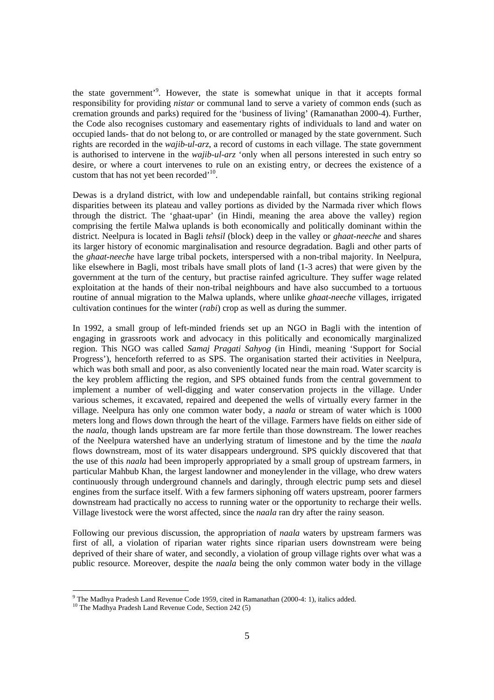the state government<sup>3</sup>. However, the state is somewhat unique in that it accepts formal responsibility for providing *nistar* or communal land to serve a variety of common ends (such as cremation grounds and parks) required for the 'business of living' (Ramanathan 2000-4). Further, the Code also recognises customary and easementary rights of individuals to land and water on occupied lands- that do not belong to, or are controlled or managed by the state government. Such rights are recorded in the *wajib-ul-arz*, a record of customs in each village. The state government is authorised to intervene in the *wajib-ul-arz* 'only when all persons interested in such entry so desire, or where a court intervenes to rule on an existing entry, or decrees the existence of a custom that has not yet been recorded<sup>'10</sup>.

Dewas is a dryland district, with low and undependable rainfall, but contains striking regional disparities between its plateau and valley portions as divided by the Narmada river which flows through the district. The 'ghaat-upar' (in Hindi, meaning the area above the valley) region comprising the fertile Malwa uplands is both economically and politically dominant within the district. Neelpura is located in Bagli *tehsil* (block) deep in the valley or *ghaat-neeche* and shares its larger history of economic marginalisation and resource degradation. Bagli and other parts of the *ghaat-neeche* have large tribal pockets, interspersed with a non-tribal majority. In Neelpura, like elsewhere in Bagli, most tribals have small plots of land (1-3 acres) that were given by the government at the turn of the century, but practise rainfed agriculture. They suffer wage related exploitation at the hands of their non-tribal neighbours and have also succumbed to a tortuous routine of annual migration to the Malwa uplands, where unlike *ghaat-neeche* villages, irrigated cultivation continues for the winter (*rabi*) crop as well as during the summer.

In 1992, a small group of left-minded friends set up an NGO in Bagli with the intention of engaging in grassroots work and advocacy in this politically and economically marginalized region. This NGO was called *Samaj Pragati Sahyog* (in Hindi, meaning 'Support for Social Progress'), henceforth referred to as SPS. The organisation started their activities in Neelpura, which was both small and poor, as also conveniently located near the main road. Water scarcity is the key problem afflicting the region, and SPS obtained funds from the central government to implement a number of well-digging and water conservation projects in the village. Under various schemes, it excavated, repaired and deepened the wells of virtually every farmer in the village. Neelpura has only one common water body, a *naala* or stream of water which is 1000 meters long and flows down through the heart of the village. Farmers have fields on either side of the *naala*, though lands upstream are far more fertile than those downstream. The lower reaches of the Neelpura watershed have an underlying stratum of limestone and by the time the *naala*  flows downstream, most of its water disappears underground. SPS quickly discovered that that the use of this *naala* had been improperly appropriated by a small group of upstream farmers, in particular Mahbub Khan, the largest landowner and moneylender in the village, who drew waters continuously through underground channels and daringly, through electric pump sets and diesel engines from the surface itself. With a few farmers siphoning off waters upstream, poorer farmers downstream had practically no access to running water or the opportunity to recharge their wells. Village livestock were the worst affected, since the *naala* ran dry after the rainy season.

Following our previous discussion, the appropriation of *naala* waters by upstream farmers was first of all, a violation of riparian water rights since riparian users downstream were being deprived of their share of water, and secondly, a violation of group village rights over what was a public resource. Moreover, despite the *naala* being the only common water body in the village

<sup>-&</sup>lt;br>9

 $10$  The Madhya Pradesh Land Revenue Code, Section 242 (5)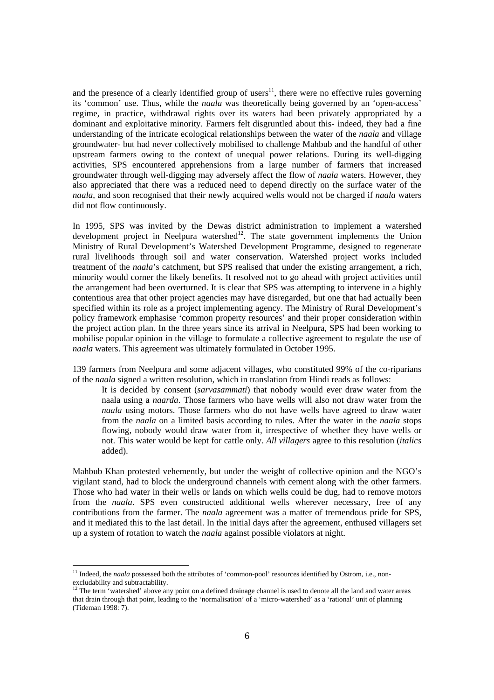and the presence of a clearly identified group of users $^{11}$ , there were no effective rules governing its 'common' use. Thus, while the *naala* was theoretically being governed by an 'open-access' regime, in practice, withdrawal rights over its waters had been privately appropriated by a dominant and exploitative minority. Farmers felt disgruntled about this- indeed, they had a fine understanding of the intricate ecological relationships between the water of the *naala* and village groundwater- but had never collectively mobilised to challenge Mahbub and the handful of other upstream farmers owing to the context of unequal power relations. During its well-digging activities, SPS encountered apprehensions from a large number of farmers that increased groundwater through well-digging may adversely affect the flow of *naala* waters. However, they also appreciated that there was a reduced need to depend directly on the surface water of the *naala*, and soon recognised that their newly acquired wells would not be charged if *naala* waters did not flow continuously.

In 1995, SPS was invited by the Dewas district administration to implement a watershed development project in Neelpura watershed $12$ . The state government implements the Union Ministry of Rural Development's Watershed Development Programme, designed to regenerate rural livelihoods through soil and water conservation. Watershed project works included treatment of the *naala*'s catchment, but SPS realised that under the existing arrangement, a rich, minority would corner the likely benefits. It resolved not to go ahead with project activities until the arrangement had been overturned. It is clear that SPS was attempting to intervene in a highly contentious area that other project agencies may have disregarded, but one that had actually been specified within its role as a project implementing agency. The Ministry of Rural Development's policy framework emphasise 'common property resources' and their proper consideration within the project action plan. In the three years since its arrival in Neelpura, SPS had been working to mobilise popular opinion in the village to formulate a collective agreement to regulate the use of *naala* waters. This agreement was ultimately formulated in October 1995.

139 farmers from Neelpura and some adjacent villages, who constituted 99% of the co-riparians of the *naala* signed a written resolution, which in translation from Hindi reads as follows:

It is decided by consent (*sarvasammati*) that nobody would ever draw water from the naala using a *naarda*. Those farmers who have wells will also not draw water from the *naala* using motors. Those farmers who do not have wells have agreed to draw water from the *naala* on a limited basis according to rules. After the water in the *naala* stops flowing, nobody would draw water from it, irrespective of whether they have wells or not. This water would be kept for cattle only. *All villagers* agree to this resolution (*italics* added).

Mahbub Khan protested vehemently, but under the weight of collective opinion and the NGO's vigilant stand, had to block the underground channels with cement along with the other farmers. Those who had water in their wells or lands on which wells could be dug, had to remove motors from the *naala*. SPS even constructed additional wells wherever necessary, free of any contributions from the farmer. The *naala* agreement was a matter of tremendous pride for SPS, and it mediated this to the last detail. In the initial days after the agreement, enthused villagers set up a system of rotation to watch the *naala* against possible violators at night.

<sup>&</sup>lt;sup>11</sup> Indeed, the *naala* possessed both the attributes of 'common-pool' resources identified by Ostrom, i.e., nonexcludability and subtractability.

<sup>&</sup>lt;sup>12</sup> The term 'watershed' above any point on a defined drainage channel is used to denote all the land and water areas that drain through that point, leading to the 'normalisation' of a 'micro-watershed' as a 'rational' unit of planning (Tideman 1998: 7).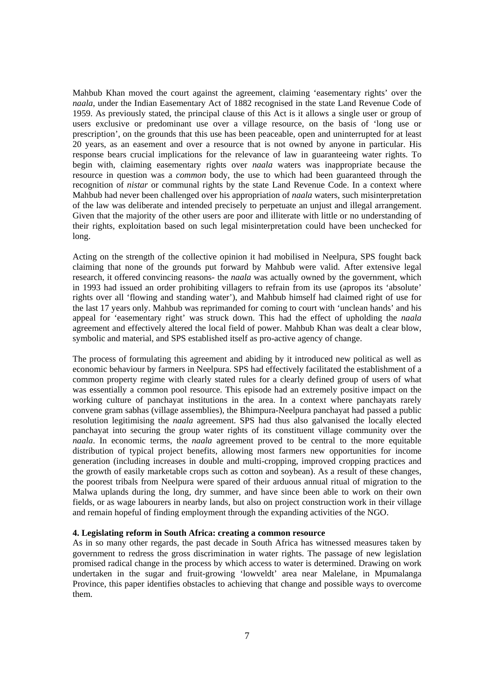Mahbub Khan moved the court against the agreement, claiming 'easementary rights' over the *naala*, under the Indian Easementary Act of 1882 recognised in the state Land Revenue Code of 1959. As previously stated, the principal clause of this Act is it allows a single user or group of users exclusive or predominant use over a village resource, on the basis of 'long use or prescription', on the grounds that this use has been peaceable, open and uninterrupted for at least 20 years, as an easement and over a resource that is not owned by anyone in particular. His response bears crucial implications for the relevance of law in guaranteeing water rights. To begin with, claiming easementary rights over *naala* waters was inappropriate because the resource in question was a *common* body, the use to which had been guaranteed through the recognition of *nistar* or communal rights by the state Land Revenue Code. In a context where Mahbub had never been challenged over his appropriation of *naala* waters, such misinterpretation of the law was deliberate and intended precisely to perpetuate an unjust and illegal arrangement. Given that the majority of the other users are poor and illiterate with little or no understanding of their rights, exploitation based on such legal misinterpretation could have been unchecked for long.

Acting on the strength of the collective opinion it had mobilised in Neelpura, SPS fought back claiming that none of the grounds put forward by Mahbub were valid. After extensive legal research, it offered convincing reasons- the *naala* was actually owned by the government, which in 1993 had issued an order prohibiting villagers to refrain from its use (apropos its 'absolute' rights over all 'flowing and standing water'), and Mahbub himself had claimed right of use for the last 17 years only. Mahbub was reprimanded for coming to court with 'unclean hands' and his appeal for 'easementary right' was struck down. This had the effect of upholding the *naala*  agreement and effectively altered the local field of power. Mahbub Khan was dealt a clear blow, symbolic and material, and SPS established itself as pro-active agency of change.

The process of formulating this agreement and abiding by it introduced new political as well as economic behaviour by farmers in Neelpura. SPS had effectively facilitated the establishment of a common property regime with clearly stated rules for a clearly defined group of users of what was essentially a common pool resource. This episode had an extremely positive impact on the working culture of panchayat institutions in the area. In a context where panchayats rarely convene gram sabhas (village assemblies), the Bhimpura-Neelpura panchayat had passed a public resolution legitimising the *naala* agreement. SPS had thus also galvanised the locally elected panchayat into securing the group water rights of its constituent village community over the *naala*. In economic terms, the *naala* agreement proved to be central to the more equitable distribution of typical project benefits, allowing most farmers new opportunities for income generation (including increases in double and multi-cropping, improved cropping practices and the growth of easily marketable crops such as cotton and soybean). As a result of these changes, the poorest tribals from Neelpura were spared of their arduous annual ritual of migration to the Malwa uplands during the long, dry summer, and have since been able to work on their own fields, or as wage labourers in nearby lands, but also on project construction work in their village and remain hopeful of finding employment through the expanding activities of the NGO.

# **4. Legislating reform in South Africa: creating a common resource**

As in so many other regards, the past decade in South Africa has witnessed measures taken by government to redress the gross discrimination in water rights. The passage of new legislation promised radical change in the process by which access to water is determined. Drawing on work undertaken in the sugar and fruit-growing 'lowveldt' area near Malelane, in Mpumalanga Province, this paper identifies obstacles to achieving that change and possible ways to overcome them.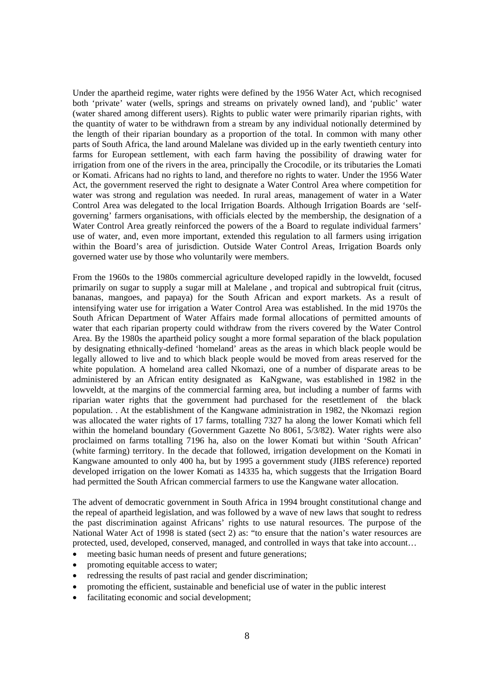Under the apartheid regime, water rights were defined by the 1956 Water Act, which recognised both 'private' water (wells, springs and streams on privately owned land), and 'public' water (water shared among different users). Rights to public water were primarily riparian rights, with the quantity of water to be withdrawn from a stream by any individual notionally determined by the length of their riparian boundary as a proportion of the total. In common with many other parts of South Africa, the land around Malelane was divided up in the early twentieth century into farms for European settlement, with each farm having the possibility of drawing water for irrigation from one of the rivers in the area, principally the Crocodile, or its tributaries the Lomati or Komati. Africans had no rights to land, and therefore no rights to water. Under the 1956 Water Act, the government reserved the right to designate a Water Control Area where competition for water was strong and regulation was needed. In rural areas, management of water in a Water Control Area was delegated to the local Irrigation Boards. Although Irrigation Boards are 'selfgoverning' farmers organisations, with officials elected by the membership, the designation of a Water Control Area greatly reinforced the powers of the a Board to regulate individual farmers' use of water, and, even more important, extended this regulation to all farmers using irrigation within the Board's area of jurisdiction. Outside Water Control Areas, Irrigation Boards only governed water use by those who voluntarily were members.

From the 1960s to the 1980s commercial agriculture developed rapidly in the lowveldt, focused primarily on sugar to supply a sugar mill at Malelane , and tropical and subtropical fruit (citrus, bananas, mangoes, and papaya) for the South African and export markets. As a result of intensifying water use for irrigation a Water Control Area was established. In the mid 1970s the South African Department of Water Affairs made formal allocations of permitted amounts of water that each riparian property could withdraw from the rivers covered by the Water Control Area. By the 1980s the apartheid policy sought a more formal separation of the black population by designating ethnically-defined 'homeland' areas as the areas in which black people would be legally allowed to live and to which black people would be moved from areas reserved for the white population. A homeland area called Nkomazi, one of a number of disparate areas to be administered by an African entity designated as KaNgwane, was established in 1982 in the lowveldt, at the margins of the commercial farming area, but including a number of farms with riparian water rights that the government had purchased for the resettlement of the black population. . At the establishment of the Kangwane administration in 1982, the Nkomazi region was allocated the water rights of 17 farms, totalling 7327 ha along the lower Komati which fell within the homeland boundary (Government Gazette No 8061, 5/3/82). Water rights were also proclaimed on farms totalling 7196 ha, also on the lower Komati but within 'South African' (white farming) territory. In the decade that followed, irrigation development on the Komati in Kangwane amounted to only 400 ha, but by 1995 a government study (JIBS reference) reported developed irrigation on the lower Komati as 14335 ha, which suggests that the Irrigation Board had permitted the South African commercial farmers to use the Kangwane water allocation.

The advent of democratic government in South Africa in 1994 brought constitutional change and the repeal of apartheid legislation, and was followed by a wave of new laws that sought to redress the past discrimination against Africans' rights to use natural resources. The purpose of the National Water Act of 1998 is stated (sect 2) as: "to ensure that the nation's water resources are protected, used, developed, conserved, managed, and controlled in ways that take into account…

- meeting basic human needs of present and future generations:
- promoting equitable access to water;
- redressing the results of past racial and gender discrimination;
- promoting the efficient, sustainable and beneficial use of water in the public interest
- facilitating economic and social development;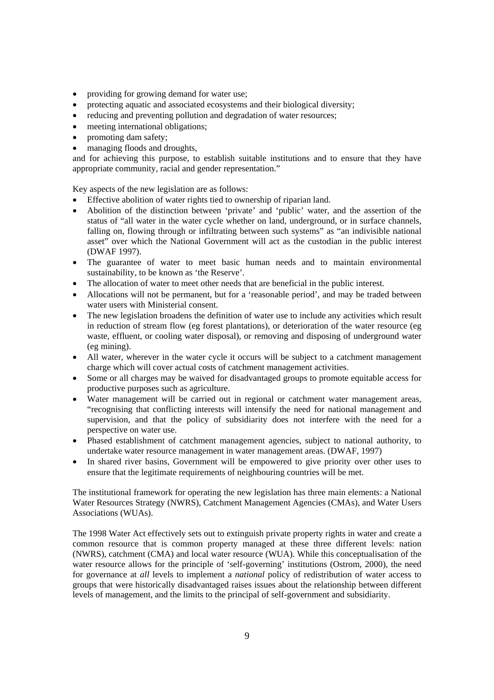- providing for growing demand for water use;
- protecting aquatic and associated ecosystems and their biological diversity;
- reducing and preventing pollution and degradation of water resources;
- meeting international obligations;
- promoting dam safety;
- managing floods and droughts,

and for achieving this purpose, to establish suitable institutions and to ensure that they have appropriate community, racial and gender representation."

Key aspects of the new legislation are as follows:

- Effective abolition of water rights tied to ownership of riparian land.
- Abolition of the distinction between 'private' and 'public' water, and the assertion of the status of "all water in the water cycle whether on land, underground, or in surface channels, falling on, flowing through or infiltrating between such systems" as "an indivisible national asset" over which the National Government will act as the custodian in the public interest (DWAF 1997).
- The guarantee of water to meet basic human needs and to maintain environmental sustainability, to be known as 'the Reserve'.
- The allocation of water to meet other needs that are beneficial in the public interest.
- Allocations will not be permanent, but for a 'reasonable period', and may be traded between water users with Ministerial consent.
- The new legislation broadens the definition of water use to include any activities which result in reduction of stream flow (eg forest plantations), or deterioration of the water resource (eg waste, effluent, or cooling water disposal), or removing and disposing of underground water (eg mining).
- All water, wherever in the water cycle it occurs will be subject to a catchment management charge which will cover actual costs of catchment management activities.
- Some or all charges may be waived for disadvantaged groups to promote equitable access for productive purposes such as agriculture.
- Water management will be carried out in regional or catchment water management areas, "recognising that conflicting interests will intensify the need for national management and supervision, and that the policy of subsidiarity does not interfere with the need for a perspective on water use.
- Phased establishment of catchment management agencies, subject to national authority, to undertake water resource management in water management areas. (DWAF, 1997)
- In shared river basins, Government will be empowered to give priority over other uses to ensure that the legitimate requirements of neighbouring countries will be met.

The institutional framework for operating the new legislation has three main elements: a National Water Resources Strategy (NWRS), Catchment Management Agencies (CMAs), and Water Users Associations (WUAs).

The 1998 Water Act effectively sets out to extinguish private property rights in water and create a common resource that is common property managed at these three different levels: nation (NWRS), catchment (CMA) and local water resource (WUA). While this conceptualisation of the water resource allows for the principle of 'self-governing' institutions (Ostrom, 2000), the need for governance at *all* levels to implement a *national* policy of redistribution of water access to groups that were historically disadvantaged raises issues about the relationship between different levels of management, and the limits to the principal of self-government and subsidiarity.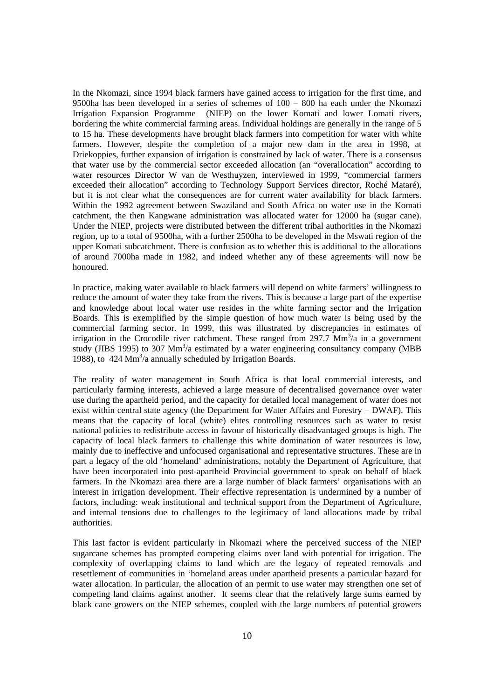In the Nkomazi, since 1994 black farmers have gained access to irrigation for the first time, and 9500ha has been developed in a series of schemes of 100 – 800 ha each under the Nkomazi Irrigation Expansion Programme (NIEP) on the lower Komati and lower Lomati rivers, bordering the white commercial farming areas. Individual holdings are generally in the range of 5 to 15 ha. These developments have brought black farmers into competition for water with white farmers. However, despite the completion of a major new dam in the area in 1998, at Driekoppies, further expansion of irrigation is constrained by lack of water. There is a consensus that water use by the commercial sector exceeded allocation (an "overallocation" according to water resources Director W van de Westhuyzen, interviewed in 1999, "commercial farmers exceeded their allocation" according to Technology Support Services director, Roché Mataré), but it is not clear what the consequences are for current water availability for black farmers. Within the 1992 agreement between Swaziland and South Africa on water use in the Komati catchment, the then Kangwane administration was allocated water for 12000 ha (sugar cane). Under the NIEP, projects were distributed between the different tribal authorities in the Nkomazi region, up to a total of 9500ha, with a further 2500ha to be developed in the Mswati region of the upper Komati subcatchment. There is confusion as to whether this is additional to the allocations of around 7000ha made in 1982, and indeed whether any of these agreements will now be honoured.

In practice, making water available to black farmers will depend on white farmers' willingness to reduce the amount of water they take from the rivers. This is because a large part of the expertise and knowledge about local water use resides in the white farming sector and the Irrigation Boards. This is exemplified by the simple question of how much water is being used by the commercial farming sector. In 1999, this was illustrated by discrepancies in estimates of irrigation in the Crocodile river catchment. These ranged from 297.7  $\text{Mm}^3$ /a in a government study (JIBS 1995) to 307 Mm<sup>3</sup>/a estimated by a water engineering consultancy company (MBB 1988), to  $424 \text{ Mm}^3$ /a annually scheduled by Irrigation Boards.

The reality of water management in South Africa is that local commercial interests, and particularly farming interests, achieved a large measure of decentralised governance over water use during the apartheid period, and the capacity for detailed local management of water does not exist within central state agency (the Department for Water Affairs and Forestry – DWAF). This means that the capacity of local (white) elites controlling resources such as water to resist national policies to redistribute access in favour of historically disadvantaged groups is high. The capacity of local black farmers to challenge this white domination of water resources is low, mainly due to ineffective and unfocused organisational and representative structures. These are in part a legacy of the old 'homeland' administrations, notably the Department of Agriculture, that have been incorporated into post-apartheid Provincial government to speak on behalf of black farmers. In the Nkomazi area there are a large number of black farmers' organisations with an interest in irrigation development. Their effective representation is undermined by a number of factors, including: weak institutional and technical support from the Department of Agriculture, and internal tensions due to challenges to the legitimacy of land allocations made by tribal authorities.

This last factor is evident particularly in Nkomazi where the perceived success of the NIEP sugarcane schemes has prompted competing claims over land with potential for irrigation. The complexity of overlapping claims to land which are the legacy of repeated removals and resettlement of communities in 'homeland areas under apartheid presents a particular hazard for water allocation. In particular, the allocation of an permit to use water may strengthen one set of competing land claims against another. It seems clear that the relatively large sums earned by black cane growers on the NIEP schemes, coupled with the large numbers of potential growers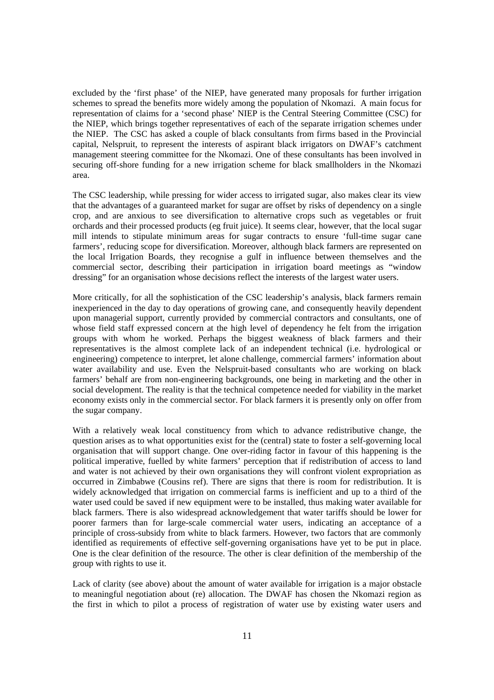excluded by the 'first phase' of the NIEP, have generated many proposals for further irrigation schemes to spread the benefits more widely among the population of Nkomazi. A main focus for representation of claims for a 'second phase' NIEP is the Central Steering Committee (CSC) for the NIEP, which brings together representatives of each of the separate irrigation schemes under the NIEP. The CSC has asked a couple of black consultants from firms based in the Provincial capital, Nelspruit, to represent the interests of aspirant black irrigators on DWAF's catchment management steering committee for the Nkomazi. One of these consultants has been involved in securing off-shore funding for a new irrigation scheme for black smallholders in the Nkomazi area.

The CSC leadership, while pressing for wider access to irrigated sugar, also makes clear its view that the advantages of a guaranteed market for sugar are offset by risks of dependency on a single crop, and are anxious to see diversification to alternative crops such as vegetables or fruit orchards and their processed products (eg fruit juice). It seems clear, however, that the local sugar mill intends to stipulate minimum areas for sugar contracts to ensure 'full-time sugar cane farmers', reducing scope for diversification. Moreover, although black farmers are represented on the local Irrigation Boards, they recognise a gulf in influence between themselves and the commercial sector, describing their participation in irrigation board meetings as "window dressing" for an organisation whose decisions reflect the interests of the largest water users.

More critically, for all the sophistication of the CSC leadership's analysis, black farmers remain inexperienced in the day to day operations of growing cane, and consequently heavily dependent upon managerial support, currently provided by commercial contractors and consultants, one of whose field staff expressed concern at the high level of dependency he felt from the irrigation groups with whom he worked. Perhaps the biggest weakness of black farmers and their representatives is the almost complete lack of an independent technical (i.e. hydrological or engineering) competence to interpret, let alone challenge, commercial farmers' information about water availability and use. Even the Nelspruit-based consultants who are working on black farmers' behalf are from non-engineering backgrounds, one being in marketing and the other in social development. The reality is that the technical competence needed for viability in the market economy exists only in the commercial sector. For black farmers it is presently only on offer from the sugar company.

With a relatively weak local constituency from which to advance redistributive change, the question arises as to what opportunities exist for the (central) state to foster a self-governing local organisation that will support change. One over-riding factor in favour of this happening is the political imperative, fuelled by white farmers' perception that if redistribution of access to land and water is not achieved by their own organisations they will confront violent expropriation as occurred in Zimbabwe (Cousins ref). There are signs that there is room for redistribution. It is widely acknowledged that irrigation on commercial farms is inefficient and up to a third of the water used could be saved if new equipment were to be installed, thus making water available for black farmers. There is also widespread acknowledgement that water tariffs should be lower for poorer farmers than for large-scale commercial water users, indicating an acceptance of a principle of cross-subsidy from white to black farmers. However, two factors that are commonly identified as requirements of effective self-governing organisations have yet to be put in place. One is the clear definition of the resource. The other is clear definition of the membership of the group with rights to use it.

Lack of clarity (see above) about the amount of water available for irrigation is a major obstacle to meaningful negotiation about (re) allocation. The DWAF has chosen the Nkomazi region as the first in which to pilot a process of registration of water use by existing water users and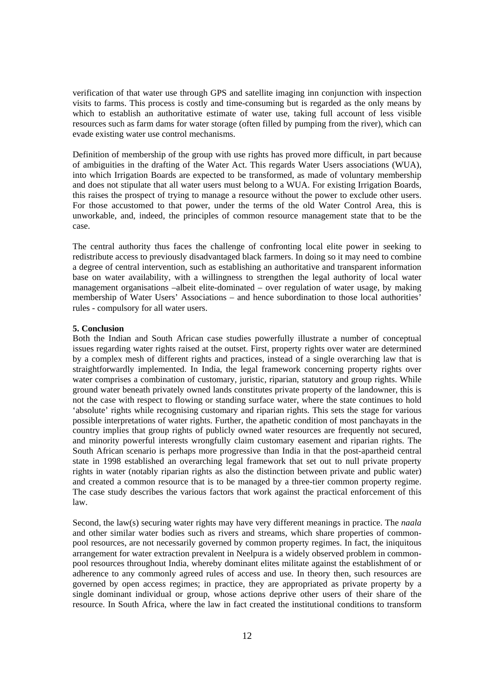verification of that water use through GPS and satellite imaging inn conjunction with inspection visits to farms. This process is costly and time-consuming but is regarded as the only means by which to establish an authoritative estimate of water use, taking full account of less visible resources such as farm dams for water storage (often filled by pumping from the river), which can evade existing water use control mechanisms.

Definition of membership of the group with use rights has proved more difficult, in part because of ambiguities in the drafting of the Water Act. This regards Water Users associations (WUA), into which Irrigation Boards are expected to be transformed, as made of voluntary membership and does not stipulate that all water users must belong to a WUA. For existing Irrigation Boards, this raises the prospect of trying to manage a resource without the power to exclude other users. For those accustomed to that power, under the terms of the old Water Control Area, this is unworkable, and, indeed, the principles of common resource management state that to be the case.

The central authority thus faces the challenge of confronting local elite power in seeking to redistribute access to previously disadvantaged black farmers. In doing so it may need to combine a degree of central intervention, such as establishing an authoritative and transparent information base on water availability, with a willingness to strengthen the legal authority of local water management organisations –albeit elite-dominated – over regulation of water usage, by making membership of Water Users' Associations – and hence subordination to those local authorities' rules - compulsory for all water users.

#### **5. Conclusion**

Both the Indian and South African case studies powerfully illustrate a number of conceptual issues regarding water rights raised at the outset. First, property rights over water are determined by a complex mesh of different rights and practices, instead of a single overarching law that is straightforwardly implemented. In India, the legal framework concerning property rights over water comprises a combination of customary, juristic, riparian, statutory and group rights. While ground water beneath privately owned lands constitutes private property of the landowner, this is not the case with respect to flowing or standing surface water, where the state continues to hold 'absolute' rights while recognising customary and riparian rights. This sets the stage for various possible interpretations of water rights. Further, the apathetic condition of most panchayats in the country implies that group rights of publicly owned water resources are frequently not secured, and minority powerful interests wrongfully claim customary easement and riparian rights. The South African scenario is perhaps more progressive than India in that the post-apartheid central state in 1998 established an overarching legal framework that set out to null private property rights in water (notably riparian rights as also the distinction between private and public water) and created a common resource that is to be managed by a three-tier common property regime. The case study describes the various factors that work against the practical enforcement of this law.

Second, the law(s) securing water rights may have very different meanings in practice. The *naala*  and other similar water bodies such as rivers and streams, which share properties of commonpool resources, are not necessarily governed by common property regimes. In fact, the iniquitous arrangement for water extraction prevalent in Neelpura is a widely observed problem in commonpool resources throughout India, whereby dominant elites militate against the establishment of or adherence to any commonly agreed rules of access and use. In theory then, such resources are governed by open access regimes; in practice, they are appropriated as private property by a single dominant individual or group, whose actions deprive other users of their share of the resource. In South Africa, where the law in fact created the institutional conditions to transform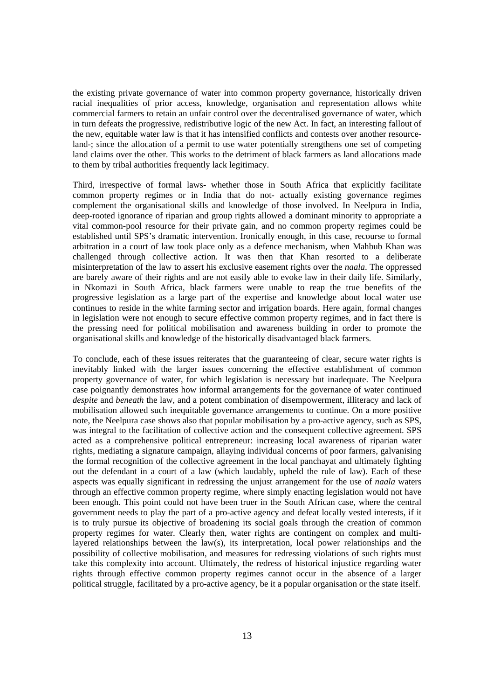the existing private governance of water into common property governance, historically driven racial inequalities of prior access, knowledge, organisation and representation allows white commercial farmers to retain an unfair control over the decentralised governance of water, which in turn defeats the progressive, redistributive logic of the new Act. In fact, an interesting fallout of the new, equitable water law is that it has intensified conflicts and contests over another resourceland-; since the allocation of a permit to use water potentially strengthens one set of competing land claims over the other. This works to the detriment of black farmers as land allocations made to them by tribal authorities frequently lack legitimacy.

Third, irrespective of formal laws- whether those in South Africa that explicitly facilitate common property regimes or in India that do not- actually existing governance regimes complement the organisational skills and knowledge of those involved. In Neelpura in India, deep-rooted ignorance of riparian and group rights allowed a dominant minority to appropriate a vital common-pool resource for their private gain, and no common property regimes could be established until SPS's dramatic intervention. Ironically enough, in this case, recourse to formal arbitration in a court of law took place only as a defence mechanism, when Mahbub Khan was challenged through collective action. It was then that Khan resorted to a deliberate misinterpretation of the law to assert his exclusive easement rights over the *naala*. The oppressed are barely aware of their rights and are not easily able to evoke law in their daily life. Similarly, in Nkomazi in South Africa, black farmers were unable to reap the true benefits of the progressive legislation as a large part of the expertise and knowledge about local water use continues to reside in the white farming sector and irrigation boards. Here again, formal changes in legislation were not enough to secure effective common property regimes, and in fact there is the pressing need for political mobilisation and awareness building in order to promote the organisational skills and knowledge of the historically disadvantaged black farmers.

To conclude, each of these issues reiterates that the guaranteeing of clear, secure water rights is inevitably linked with the larger issues concerning the effective establishment of common property governance of water, for which legislation is necessary but inadequate. The Neelpura case poignantly demonstrates how informal arrangements for the governance of water continued *despite* and *beneath* the law, and a potent combination of disempowerment, illiteracy and lack of mobilisation allowed such inequitable governance arrangements to continue. On a more positive note, the Neelpura case shows also that popular mobilisation by a pro-active agency, such as SPS, was integral to the facilitation of collective action and the consequent collective agreement. SPS acted as a comprehensive political entrepreneur: increasing local awareness of riparian water rights, mediating a signature campaign, allaying individual concerns of poor farmers, galvanising the formal recognition of the collective agreement in the local panchayat and ultimately fighting out the defendant in a court of a law (which laudably, upheld the rule of law). Each of these aspects was equally significant in redressing the unjust arrangement for the use of *naala* waters through an effective common property regime, where simply enacting legislation would not have been enough. This point could not have been truer in the South African case, where the central government needs to play the part of a pro-active agency and defeat locally vested interests, if it is to truly pursue its objective of broadening its social goals through the creation of common property regimes for water. Clearly then, water rights are contingent on complex and multilayered relationships between the law(s), its interpretation, local power relationships and the possibility of collective mobilisation, and measures for redressing violations of such rights must take this complexity into account. Ultimately, the redress of historical injustice regarding water rights through effective common property regimes cannot occur in the absence of a larger political struggle, facilitated by a pro-active agency, be it a popular organisation or the state itself.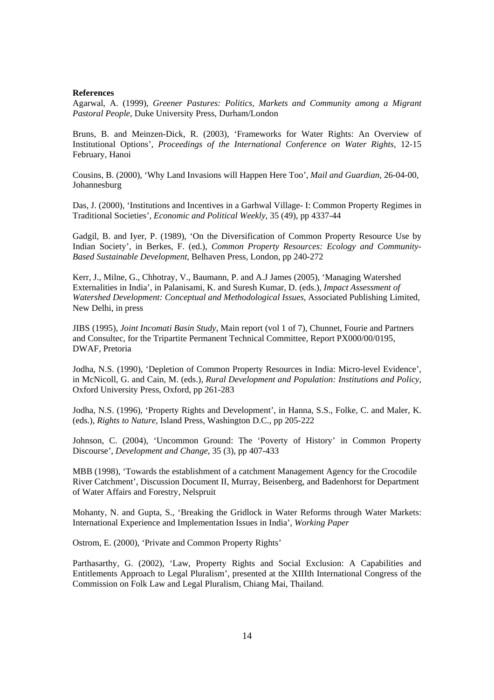#### **References**

Agarwal, A. (1999), *Greener Pastures: Politics, Markets and Community among a Migrant Pastoral People*, Duke University Press, Durham/London

Bruns, B. and Meinzen-Dick, R. (2003), 'Frameworks for Water Rights: An Overview of Institutional Options', *Proceedings of the International Conference on Water Rights*, 12-15 February, Hanoi

Cousins, B. (2000), 'Why Land Invasions will Happen Here Too', *Mail and Guardian*, 26-04-00, Johannesburg

Das, J. (2000), 'Institutions and Incentives in a Garhwal Village- I: Common Property Regimes in Traditional Societies', *Economic and Political Weekly*, 35 (49), pp 4337-44

Gadgil, B. and Iyer, P. (1989), 'On the Diversification of Common Property Resource Use by Indian Society', in Berkes, F. (ed.), *Common Property Resources: Ecology and Community-Based Sustainable Development*, Belhaven Press, London, pp 240-272

Kerr, J., Milne, G., Chhotray, V., Baumann, P. and A.J James (2005), 'Managing Watershed Externalities in India', in Palanisami, K. and Suresh Kumar, D. (eds.), *Impact Assessment of Watershed Development: Conceptual and Methodological Issues*, Associated Publishing Limited, New Delhi, in press

JIBS (1995), *Joint Incomati Basin Study*, Main report (vol 1 of 7), Chunnet, Fourie and Partners and Consultec, for the Tripartite Permanent Technical Committee, Report PX000/00/0195, DWAF, Pretoria

Jodha, N.S. (1990), 'Depletion of Common Property Resources in India: Micro-level Evidence', in McNicoll, G. and Cain, M. (eds.), *Rural Development and Population: Institutions and Policy*, Oxford University Press, Oxford, pp 261-283

Jodha, N.S. (1996), 'Property Rights and Development', in Hanna, S.S., Folke, C. and Maler, K. (eds.), *Rights to Nature*, Island Press, Washington D.C., pp 205-222

Johnson, C. (2004), 'Uncommon Ground: The 'Poverty of History' in Common Property Discourse', *Development and Change*, 35 (3), pp 407-433

MBB (1998), 'Towards the establishment of a catchment Management Agency for the Crocodile River Catchment', Discussion Document II, Murray, Beisenberg, and Badenhorst for Department of Water Affairs and Forestry, Nelspruit

Mohanty, N. and Gupta, S., 'Breaking the Gridlock in Water Reforms through Water Markets: International Experience and Implementation Issues in India', *Working Paper*

Ostrom, E. (2000), 'Private and Common Property Rights'

Parthasarthy, G. (2002), 'Law, Property Rights and Social Exclusion: A Capabilities and Entitlements Approach to Legal Pluralism', presented at the XIIIth International Congress of the Commission on Folk Law and Legal Pluralism, Chiang Mai, Thailand.